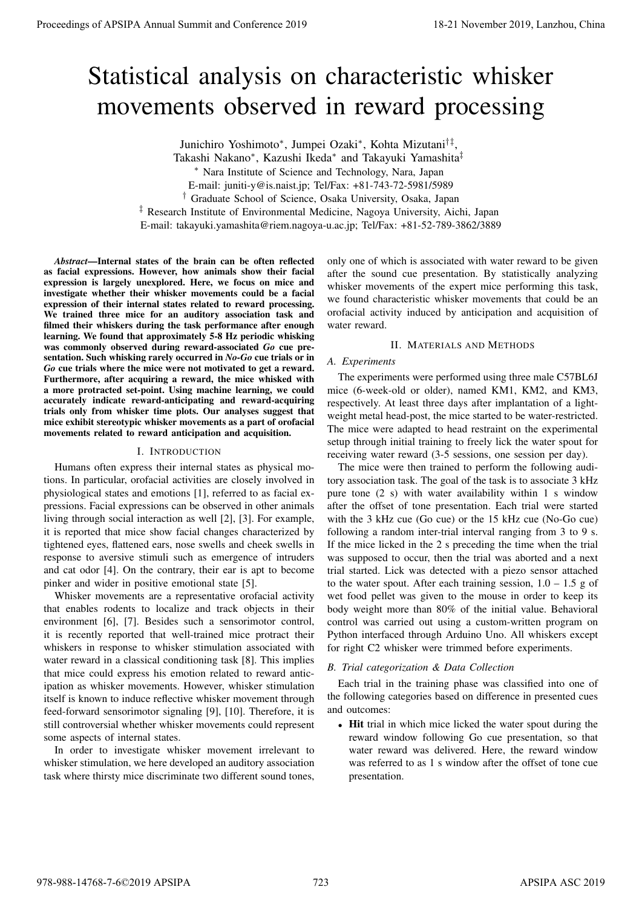# Statistical analysis on characteristic whisker movements observed in reward processing

Junichiro Yoshimoto*<sup>∗</sup>* , Jumpei Ozaki*<sup>∗</sup>* , Kohta Mizutani*†‡* ,

Takashi Nakano*<sup>∗</sup>* , Kazushi Ikeda*<sup>∗</sup>* and Takayuki Yamashita*‡*

*<sup>∗</sup>* Nara Institute of Science and Technology, Nara, Japan

E-mail: juniti-y@is.naist.jp; Tel/Fax: +81-743-72-5981/5989

*†* Graduate School of Science, Osaka University, Osaka, Japan

*‡* Research Institute of Environmental Medicine, Nagoya University, Aichi, Japan

E-mail: takayuki.yamashita@riem.nagoya-u.ac.jp; Tel/Fax: +81-52-789-3862/3889

*Abstract*—Internal states of the brain can be often reflected as facial expressions. However, how animals show their facial expression is largely unexplored. Here, we focus on mice and investigate whether their whisker movements could be a facial expression of their internal states related to reward processing. We trained three mice for an auditory association task and filmed their whiskers during the task performance after enough learning. We found that approximately 5-8 Hz periodic whisking was commonly observed during reward-associated *Go* cue presentation. Such whisking rarely occurred in *No-Go* cue trials or in *Go* cue trials where the mice were not motivated to get a reward. Furthermore, after acquiring a reward, the mice whisked with a more protracted set-point. Using machine learning, we could accurately indicate reward-anticipating and reward-acquiring trials only from whisker time plots. Our analyses suggest that mice exhibit stereotypic whisker movements as a part of orofacial movements related to reward anticipation and acquisition.

## I. INTRODUCTION

Humans often express their internal states as physical motions. In particular, orofacial activities are closely involved in physiological states and emotions [1], referred to as facial expressions. Facial expressions can be observed in other animals living through social interaction as well [2], [3]. For example, it is reported that mice show facial changes characterized by tightened eyes, flattened ears, nose swells and cheek swells in response to aversive stimuli such as emergence of intruders and cat odor [4]. On the contrary, their ear is apt to become pinker and wider in positive emotional state [5].

Whisker movements are a representative orofacial activity that enables rodents to localize and track objects in their environment [6], [7]. Besides such a sensorimotor control, it is recently reported that well-trained mice protract their whiskers in response to whisker stimulation associated with water reward in a classical conditioning task [8]. This implies that mice could express his emotion related to reward anticipation as whisker movements. However, whisker stimulation itself is known to induce reflective whisker movement through feed-forward sensorimotor signaling [9], [10]. Therefore, it is still controversial whether whisker movements could represent some aspects of internal states.

In order to investigate whisker movement irrelevant to whisker stimulation, we here developed an auditory association task where thirsty mice discriminate two different sound tones,

only one of which is associated with water reward to be given after the sound cue presentation. By statistically analyzing whisker movements of the expert mice performing this task, we found characteristic whisker movements that could be an orofacial activity induced by anticipation and acquisition of water reward.

# II. MATERIALS AND METHODS

## *A. Experiments*

The experiments were performed using three male C57BL6J mice (6-week-old or older), named KM1, KM2, and KM3, respectively. At least three days after implantation of a lightweight metal head-post, the mice started to be water-restricted. The mice were adapted to head restraint on the experimental setup through initial training to freely lick the water spout for receiving water reward (3-5 sessions, one session per day).

The mice were then trained to perform the following auditory association task. The goal of the task is to associate 3 kHz pure tone (2 s) with water availability within 1 s window after the offset of tone presentation. Each trial were started with the 3 kHz cue (Go cue) or the 15 kHz cue (No-Go cue) following a random inter-trial interval ranging from 3 to 9 s. If the mice licked in the 2 s preceding the time when the trial was supposed to occur, then the trial was aborted and a next trial started. Lick was detected with a piezo sensor attached to the water spout. After each training session,  $1.0 - 1.5$  g of wet food pellet was given to the mouse in order to keep its body weight more than 80% of the initial value. Behavioral control was carried out using a custom-written program on Python interfaced through Arduino Uno. All whiskers except for right C2 whisker were trimmed before experiments. **Proceedings of APSIPA Annual Summit at Conference 2019**<br>
Statistical analysis on characteristic whistely measure of APSIPA and Conference 2019<br>  $\frac{1}{2}$  The Conference 2019 18-21 November 2019 18-21 November 2019<br>
The C

# *B. Trial categorization & Data Collection*

Each trial in the training phase was classified into one of the following categories based on difference in presented cues and outcomes:

*•* Hit trial in which mice licked the water spout during the reward window following Go cue presentation, so that water reward was delivered. Here, the reward window was referred to as 1 s window after the offset of tone cue presentation.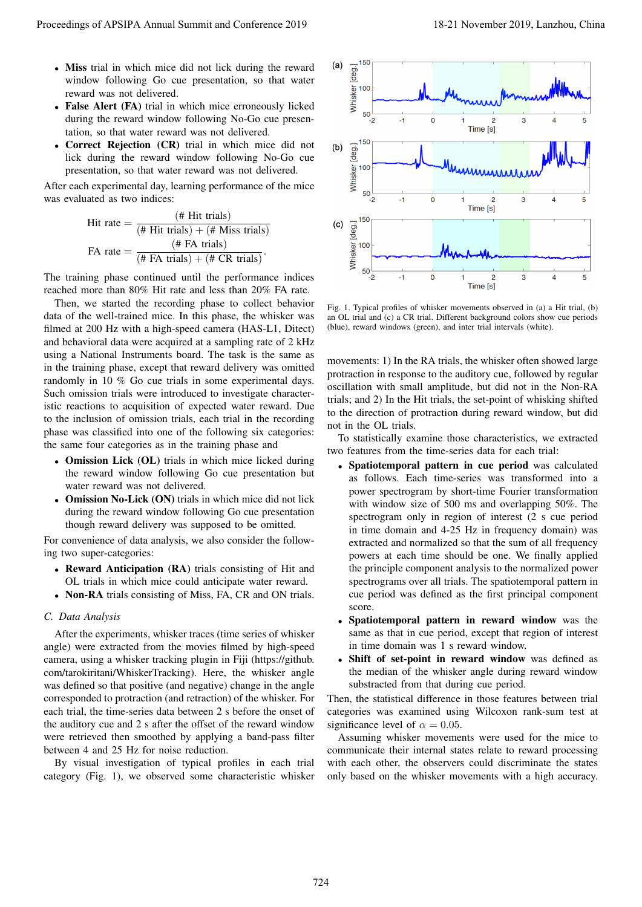- *•* Miss trial in which mice did not lick during the reward window following Go cue presentation, so that water reward was not delivered.
- **False Alert (FA)** trial in which mice erroneously licked during the reward window following No-Go cue presentation, so that water reward was not delivered.
- **Correct Rejection (CR)** trial in which mice did not lick during the reward window following No-Go cue presentation, so that water reward was not delivered.

After each experimental day, learning performance of the mice was evaluated as two indices:

Hit rate = 
$$
\frac{(\text{# Hit trials})}{(\text{# Hit trials}) + (\text{# Miss trials})}
$$

\nFA rate = 
$$
\frac{(\text{# FA trials})}{(\text{# FA trials}) + (\text{# CR trials})}
$$

The training phase continued until the performance indices reached more than 80% Hit rate and less than 20% FA rate.

Then, we started the recording phase to collect behavior data of the well-trained mice. In this phase, the whisker was filmed at 200 Hz with a high-speed camera (HAS-L1, Ditect) and behavioral data were acquired at a sampling rate of 2 kHz using a National Instruments board. The task is the same as in the training phase, except that reward delivery was omitted randomly in 10 % Go cue trials in some experimental days. Such omission trials were introduced to investigate characteristic reactions to acquisition of expected water reward. Due to the inclusion of omission trials, each trial in the recording phase was classified into one of the following six categories: the same four categories as in the training phase and

- *•* Omission Lick (OL) trials in which mice licked during the reward window following Go cue presentation but water reward was not delivered.
- **Omission No-Lick (ON)** trials in which mice did not lick during the reward window following Go cue presentation though reward delivery was supposed to be omitted.

For convenience of data analysis, we also consider the following two super-categories:

- *•* Reward Anticipation (RA) trials consisting of Hit and OL trials in which mice could anticipate water reward.
- *•* Non-RA trials consisting of Miss, FA, CR and ON trials.

#### *C. Data Analysis*

After the experiments, whisker traces (time series of whisker angle) were extracted from the movies filmed by high-speed camera, using a whisker tracking plugin in Fiji (https://github. com/tarokiritani/WhiskerTracking). Here, the whisker angle was defined so that positive (and negative) change in the angle corresponded to protraction (and retraction) of the whisker. For each trial, the time-series data between 2 s before the onset of the auditory cue and 2 s after the offset of the reward window were retrieved then smoothed by applying a band-pass filter between 4 and 25 Hz for noise reduction.

By visual investigation of typical profiles in each trial category (Fig. 1), we observed some characteristic whisker



Fig. 1. Typical profiles of whisker movements observed in (a) a Hit trial, (b) an OL trial and (c) a CR trial. Different background colors show cue periods (blue), reward windows (green), and inter trial intervals (white).

movements: 1) In the RA trials, the whisker often showed large protraction in response to the auditory cue, followed by regular oscillation with small amplitude, but did not in the Non-RA trials; and 2) In the Hit trials, the set-point of whisking shifted to the direction of protraction during reward window, but did not in the OL trials.

To statistically examine those characteristics, we extracted two features from the time-series data for each trial:

- *•* Spatiotemporal pattern in cue period was calculated as follows. Each time-series was transformed into a power spectrogram by short-time Fourier transformation with window size of 500 ms and overlapping 50%. The spectrogram only in region of interest (2 s cue period in time domain and 4-25 Hz in frequency domain) was extracted and normalized so that the sum of all frequency powers at each time should be one. We finally applied the principle component analysis to the normalized power spectrograms over all trials. The spatiotemporal pattern in cue period was defined as the first principal component score.
- *•* Spatiotemporal pattern in reward window was the same as that in cue period, except that region of interest in time domain was 1 s reward window.
- *•* Shift of set-point in reward window was defined as the median of the whisker angle during reward window substracted from that during cue period.

Then, the statistical difference in those features between trial categories was examined using Wilcoxon rank-sum test at significance level of  $\alpha = 0.05$ .

Assuming whisker movements were used for the mice to communicate their internal states relate to reward processing with each other, the observers could discriminate the states only based on the whisker movements with a high accuracy.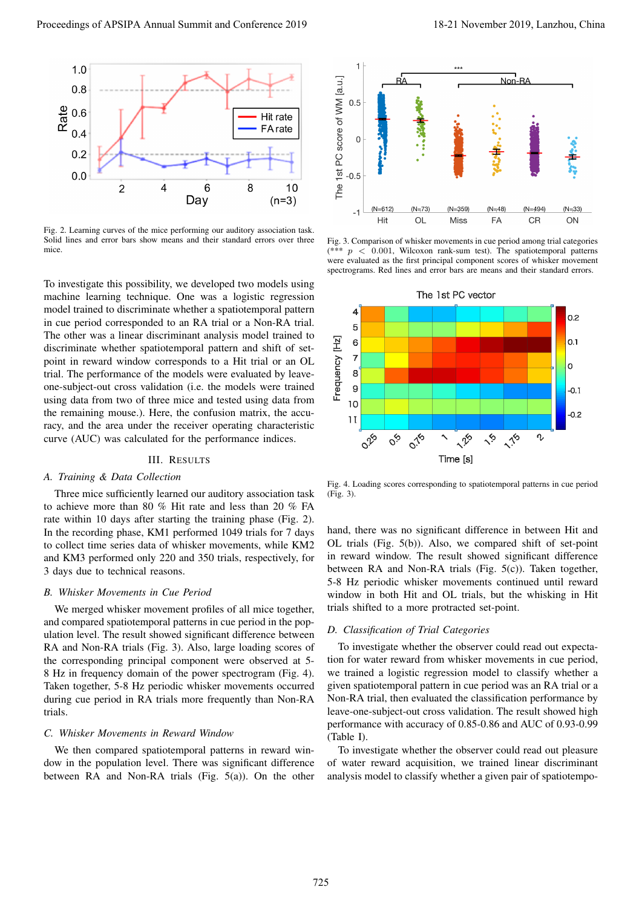

Fig. 2. Learning curves of the mice performing our auditory association task. Solid lines and error bars show means and their standard errors over three mice.

To investigate this possibility, we developed two models using machine learning technique. One was a logistic regression model trained to discriminate whether a spatiotemporal pattern in cue period corresponded to an RA trial or a Non-RA trial. The other was a linear discriminant analysis model trained to discriminate whether spatiotemporal pattern and shift of setpoint in reward window corresponds to a Hit trial or an OL trial. The performance of the models were evaluated by leaveone-subject-out cross validation (i.e. the models were trained using data from two of three mice and tested using data from the remaining mouse.). Here, the confusion matrix, the accuracy, and the area under the receiver operating characteristic curve (AUC) was calculated for the performance indices.

## III. RESULTS

### *A. Training & Data Collection*

Three mice sufficiently learned our auditory association task to achieve more than 80 % Hit rate and less than 20 % FA rate within 10 days after starting the training phase (Fig. 2). In the recording phase, KM1 performed 1049 trials for 7 days to collect time series data of whisker movements, while KM2 and KM3 performed only 220 and 350 trials, respectively, for 3 days due to technical reasons.

## *B. Whisker Movements in Cue Period*

We merged whisker movement profiles of all mice together, and compared spatiotemporal patterns in cue period in the population level. The result showed significant difference between RA and Non-RA trials (Fig. 3). Also, large loading scores of the corresponding principal component were observed at 5- 8 Hz in frequency domain of the power spectrogram (Fig. 4). Taken together, 5-8 Hz periodic whisker movements occurred during cue period in RA trials more frequently than Non-RA trials.

#### *C. Whisker Movements in Reward Window*

We then compared spatiotemporal patterns in reward window in the population level. There was significant difference between RA and Non-RA trials (Fig. 5(a)). On the other



Fig. 3. Comparison of whisker movements in cue period among trial categories (\*\*\* *p <* 0*.*001, Wilcoxon rank-sum test). The spatiotemporal patterns were evaluated as the first principal component scores of whisker movement spectrograms. Red lines and error bars are means and their standard errors.



Fig. 4. Loading scores corresponding to spatiotemporal patterns in cue period (Fig. 3).

hand, there was no significant difference in between Hit and OL trials (Fig. 5(b)). Also, we compared shift of set-point in reward window. The result showed significant difference between RA and Non-RA trials (Fig. 5(c)). Taken together, 5-8 Hz periodic whisker movements continued until reward window in both Hit and OL trials, but the whisking in Hit trials shifted to a more protracted set-point.

#### *D. Classification of Trial Categories*

To investigate whether the observer could read out expectation for water reward from whisker movements in cue period, we trained a logistic regression model to classify whether a given spatiotemporal pattern in cue period was an RA trial or a Non-RA trial, then evaluated the classification performance by leave-one-subject-out cross validation. The result showed high performance with accuracy of 0.85-0.86 and AUC of 0.93-0.99 (Table I).

To investigate whether the observer could read out pleasure of water reward acquisition, we trained linear discriminant analysis model to classify whether a given pair of spatiotempo-